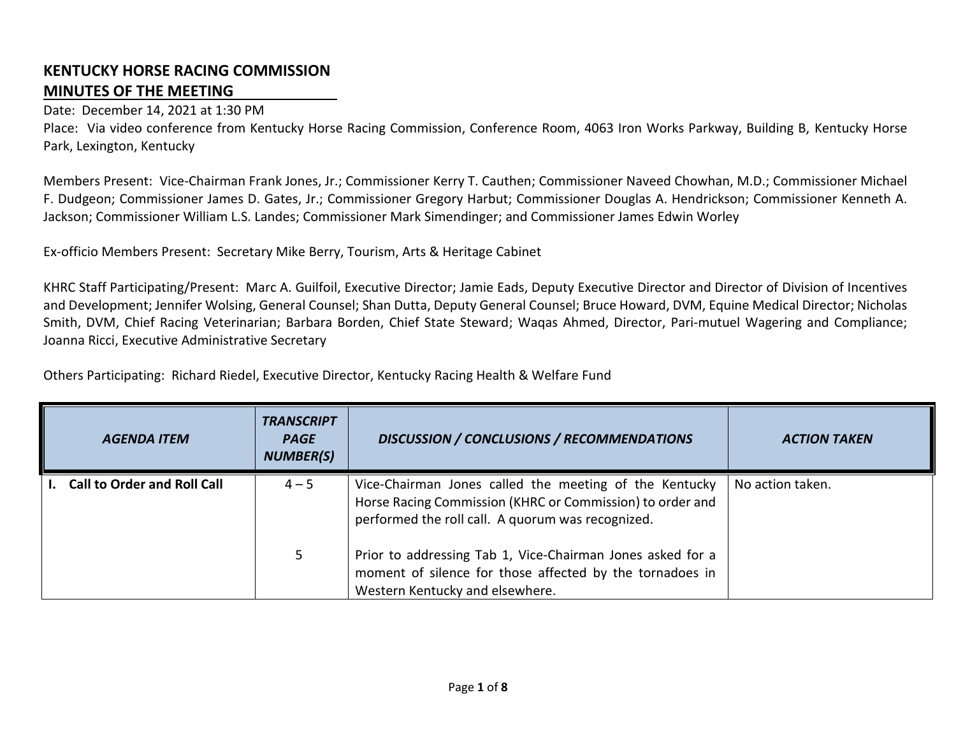## **KENTUCKY HORSE RACING COMMISSION MINUTES OF THE MEETING**

## Date: December 14, 2021 at 1:30 PM

Place: Via video conference from Kentucky Horse Racing Commission, Conference Room, 4063 Iron Works Parkway, Building B, Kentucky Horse Park, Lexington, Kentucky

Members Present: Vice-Chairman Frank Jones, Jr.; Commissioner Kerry T. Cauthen; Commissioner Naveed Chowhan, M.D.; Commissioner Michael F. Dudgeon; Commissioner James D. Gates, Jr.; Commissioner Gregory Harbut; Commissioner Douglas A. Hendrickson; Commissioner Kenneth A. Jackson; Commissioner William L.S. Landes; Commissioner Mark Simendinger; and Commissioner James Edwin Worley

Ex-officio Members Present: Secretary Mike Berry, Tourism, Arts & Heritage Cabinet

KHRC Staff Participating/Present: Marc A. Guilfoil, Executive Director; Jamie Eads, Deputy Executive Director and Director of Division of Incentives and Development; Jennifer Wolsing, General Counsel; Shan Dutta, Deputy General Counsel; Bruce Howard, DVM, Equine Medical Director; Nicholas Smith, DVM, Chief Racing Veterinarian; Barbara Borden, Chief State Steward; Waqas Ahmed, Director, Pari-mutuel Wagering and Compliance; Joanna Ricci, Executive Administrative Secretary

Others Participating: Richard Riedel, Executive Director, Kentucky Racing Health & Welfare Fund

| <b>AGENDA ITEM</b>                 | <b>TRANSCRIPT</b><br><b>PAGE</b><br><b>NUMBER(S)</b> | <b>DISCUSSION / CONCLUSIONS / RECOMMENDATIONS</b>                                                                                                                        | <b>ACTION TAKEN</b> |
|------------------------------------|------------------------------------------------------|--------------------------------------------------------------------------------------------------------------------------------------------------------------------------|---------------------|
| <b>Call to Order and Roll Call</b> | $4 - 5$                                              | Vice-Chairman Jones called the meeting of the Kentucky<br>Horse Racing Commission (KHRC or Commission) to order and<br>performed the roll call. A quorum was recognized. | No action taken.    |
|                                    | 5                                                    | Prior to addressing Tab 1, Vice-Chairman Jones asked for a<br>moment of silence for those affected by the tornadoes in<br>Western Kentucky and elsewhere.                |                     |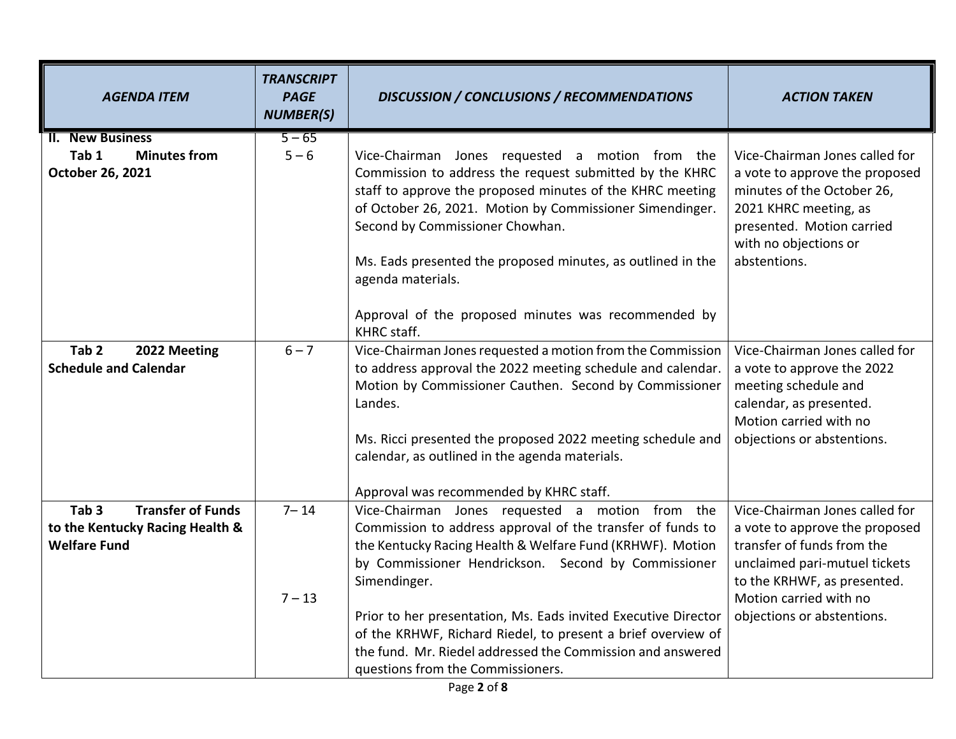| <b>AGENDA ITEM</b>                                                                                     | <b>TRANSCRIPT</b><br><b>PAGE</b><br><b>NUMBER(S)</b> | <b>DISCUSSION / CONCLUSIONS / RECOMMENDATIONS</b>                                                                                                                                                                                                                                                                                                                                                                                                                                      | <b>ACTION TAKEN</b>                                                                                                                                                                                                    |
|--------------------------------------------------------------------------------------------------------|------------------------------------------------------|----------------------------------------------------------------------------------------------------------------------------------------------------------------------------------------------------------------------------------------------------------------------------------------------------------------------------------------------------------------------------------------------------------------------------------------------------------------------------------------|------------------------------------------------------------------------------------------------------------------------------------------------------------------------------------------------------------------------|
| <b>II. New Business</b><br>Tab 1<br><b>Minutes from</b><br>October 26, 2021                            | $5 - 65$<br>$5 - 6$                                  | Vice-Chairman Jones requested a motion from the<br>Commission to address the request submitted by the KHRC<br>staff to approve the proposed minutes of the KHRC meeting<br>of October 26, 2021. Motion by Commissioner Simendinger.<br>Second by Commissioner Chowhan.<br>Ms. Eads presented the proposed minutes, as outlined in the<br>agenda materials.                                                                                                                             | Vice-Chairman Jones called for<br>a vote to approve the proposed<br>minutes of the October 26,<br>2021 KHRC meeting, as<br>presented. Motion carried<br>with no objections or<br>abstentions.                          |
|                                                                                                        |                                                      | Approval of the proposed minutes was recommended by<br>KHRC staff.                                                                                                                                                                                                                                                                                                                                                                                                                     |                                                                                                                                                                                                                        |
| Tab <sub>2</sub><br>2022 Meeting<br><b>Schedule and Calendar</b>                                       | $6 - 7$                                              | Vice-Chairman Jones requested a motion from the Commission<br>to address approval the 2022 meeting schedule and calendar.<br>Motion by Commissioner Cauthen. Second by Commissioner<br>Landes.<br>Ms. Ricci presented the proposed 2022 meeting schedule and<br>calendar, as outlined in the agenda materials.<br>Approval was recommended by KHRC staff.                                                                                                                              | Vice-Chairman Jones called for<br>a vote to approve the 2022<br>meeting schedule and<br>calendar, as presented.<br>Motion carried with no<br>objections or abstentions.                                                |
| <b>Transfer of Funds</b><br>Tab <sub>3</sub><br>to the Kentucky Racing Health &<br><b>Welfare Fund</b> | $7 - 14$<br>$7 - 13$                                 | Vice-Chairman Jones requested a motion from the<br>Commission to address approval of the transfer of funds to<br>the Kentucky Racing Health & Welfare Fund (KRHWF). Motion<br>by Commissioner Hendrickson. Second by Commissioner<br>Simendinger.<br>Prior to her presentation, Ms. Eads invited Executive Director<br>of the KRHWF, Richard Riedel, to present a brief overview of<br>the fund. Mr. Riedel addressed the Commission and answered<br>questions from the Commissioners. | Vice-Chairman Jones called for<br>a vote to approve the proposed<br>transfer of funds from the<br>unclaimed pari-mutuel tickets<br>to the KRHWF, as presented.<br>Motion carried with no<br>objections or abstentions. |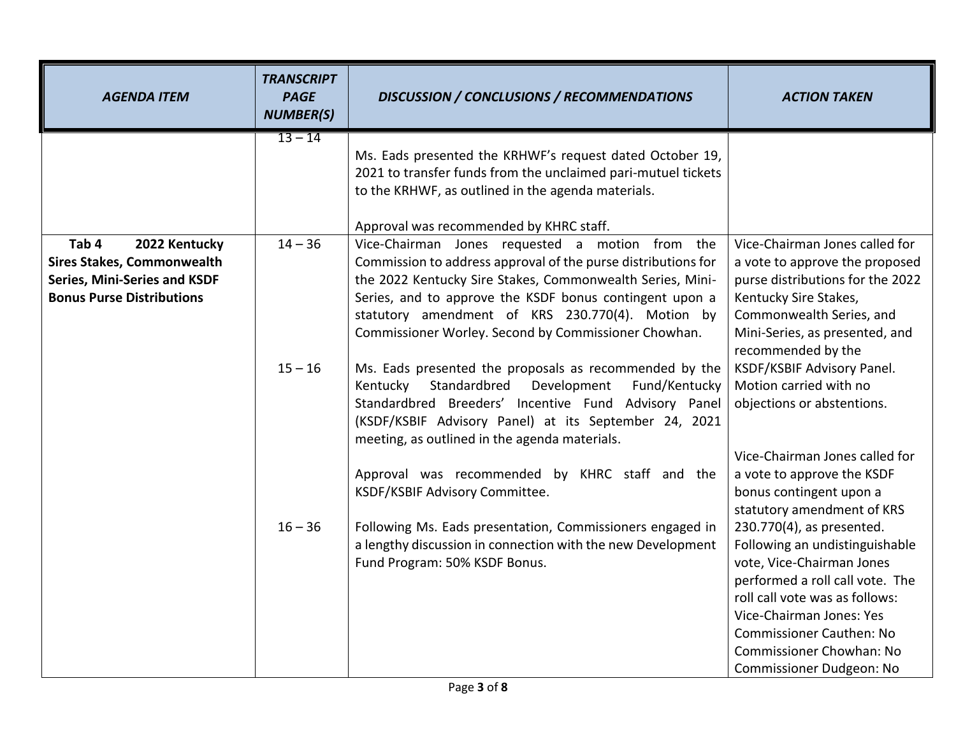| <b>AGENDA ITEM</b>                                                                                                                     | <b>TRANSCRIPT</b><br><b>PAGE</b><br><b>NUMBER(S)</b> | DISCUSSION / CONCLUSIONS / RECOMMENDATIONS                                                                                                                                                                                                                                                                                                                               | <b>ACTION TAKEN</b>                                                                                                                                                                                                                                                                                                       |
|----------------------------------------------------------------------------------------------------------------------------------------|------------------------------------------------------|--------------------------------------------------------------------------------------------------------------------------------------------------------------------------------------------------------------------------------------------------------------------------------------------------------------------------------------------------------------------------|---------------------------------------------------------------------------------------------------------------------------------------------------------------------------------------------------------------------------------------------------------------------------------------------------------------------------|
|                                                                                                                                        | $13 - 14$                                            | Ms. Eads presented the KRHWF's request dated October 19,<br>2021 to transfer funds from the unclaimed pari-mutuel tickets<br>to the KRHWF, as outlined in the agenda materials.<br>Approval was recommended by KHRC staff.                                                                                                                                               |                                                                                                                                                                                                                                                                                                                           |
| Tab 4<br>2022 Kentucky<br><b>Sires Stakes, Commonwealth</b><br><b>Series, Mini-Series and KSDF</b><br><b>Bonus Purse Distributions</b> | $14 - 36$                                            | Vice-Chairman Jones requested a motion from the<br>Commission to address approval of the purse distributions for<br>the 2022 Kentucky Sire Stakes, Commonwealth Series, Mini-<br>Series, and to approve the KSDF bonus contingent upon a<br>statutory amendment of KRS 230.770(4). Motion by<br>Commissioner Worley. Second by Commissioner Chowhan.                     | Vice-Chairman Jones called for<br>a vote to approve the proposed<br>purse distributions for the 2022<br>Kentucky Sire Stakes,<br>Commonwealth Series, and<br>Mini-Series, as presented, and<br>recommended by the                                                                                                         |
|                                                                                                                                        | $15 - 16$                                            | Ms. Eads presented the proposals as recommended by the<br>Standardbred<br>Development<br>Fund/Kentucky<br>Kentucky<br>Standardbred Breeders' Incentive Fund Advisory Panel<br>(KSDF/KSBIF Advisory Panel) at its September 24, 2021<br>meeting, as outlined in the agenda materials.<br>Approval was recommended by KHRC staff and the<br>KSDF/KSBIF Advisory Committee. | KSDF/KSBIF Advisory Panel.<br>Motion carried with no<br>objections or abstentions.<br>Vice-Chairman Jones called for<br>a vote to approve the KSDF<br>bonus contingent upon a                                                                                                                                             |
|                                                                                                                                        | $16 - 36$                                            | Following Ms. Eads presentation, Commissioners engaged in<br>a lengthy discussion in connection with the new Development<br>Fund Program: 50% KSDF Bonus.                                                                                                                                                                                                                | statutory amendment of KRS<br>230.770(4), as presented.<br>Following an undistinguishable<br>vote, Vice-Chairman Jones<br>performed a roll call vote. The<br>roll call vote was as follows:<br>Vice-Chairman Jones: Yes<br><b>Commissioner Cauthen: No</b><br>Commissioner Chowhan: No<br><b>Commissioner Dudgeon: No</b> |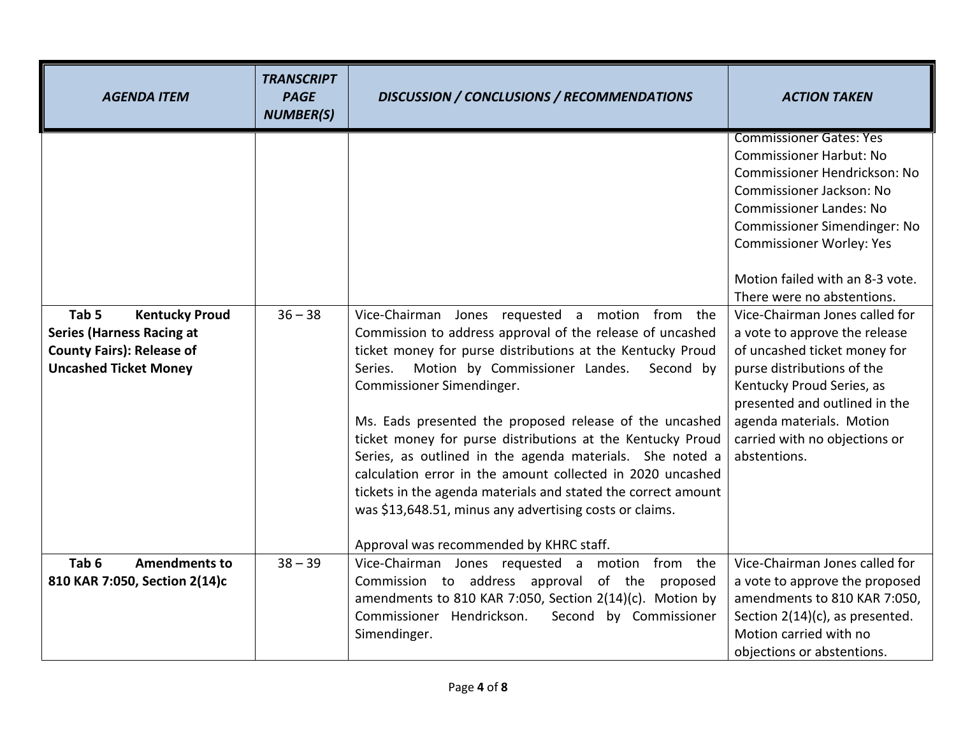| <b>AGENDA ITEM</b>                                                                                                                                | <b>TRANSCRIPT</b><br><b>PAGE</b><br><b>NUMBER(S)</b> | <b>DISCUSSION / CONCLUSIONS / RECOMMENDATIONS</b>                                                                                                                                                                                                                                                                                                                                                                                                                                                                                                                                                                                                                                           | <b>ACTION TAKEN</b>                                                                                                                                                                                                                                                                                                                                                                                                                                                                                                                                                            |
|---------------------------------------------------------------------------------------------------------------------------------------------------|------------------------------------------------------|---------------------------------------------------------------------------------------------------------------------------------------------------------------------------------------------------------------------------------------------------------------------------------------------------------------------------------------------------------------------------------------------------------------------------------------------------------------------------------------------------------------------------------------------------------------------------------------------------------------------------------------------------------------------------------------------|--------------------------------------------------------------------------------------------------------------------------------------------------------------------------------------------------------------------------------------------------------------------------------------------------------------------------------------------------------------------------------------------------------------------------------------------------------------------------------------------------------------------------------------------------------------------------------|
| Tab <sub>5</sub><br><b>Kentucky Proud</b><br><b>Series (Harness Racing at</b><br><b>County Fairs): Release of</b><br><b>Uncashed Ticket Money</b> | $36 - 38$                                            | Vice-Chairman Jones requested a motion from the<br>Commission to address approval of the release of uncashed<br>ticket money for purse distributions at the Kentucky Proud<br>Motion by Commissioner Landes.<br>Second by<br>Series.<br>Commissioner Simendinger.<br>Ms. Eads presented the proposed release of the uncashed<br>ticket money for purse distributions at the Kentucky Proud<br>Series, as outlined in the agenda materials. She noted a<br>calculation error in the amount collected in 2020 uncashed<br>tickets in the agenda materials and stated the correct amount<br>was \$13,648.51, minus any advertising costs or claims.<br>Approval was recommended by KHRC staff. | <b>Commissioner Gates: Yes</b><br><b>Commissioner Harbut: No</b><br>Commissioner Hendrickson: No<br>Commissioner Jackson: No<br><b>Commissioner Landes: No</b><br>Commissioner Simendinger: No<br><b>Commissioner Worley: Yes</b><br>Motion failed with an 8-3 vote.<br>There were no abstentions.<br>Vice-Chairman Jones called for<br>a vote to approve the release<br>of uncashed ticket money for<br>purse distributions of the<br>Kentucky Proud Series, as<br>presented and outlined in the<br>agenda materials. Motion<br>carried with no objections or<br>abstentions. |
| Tab <sub>6</sub><br><b>Amendments to</b><br>810 KAR 7:050, Section 2(14)c                                                                         | $38 - 39$                                            | Vice-Chairman Jones requested a motion from the<br>Commission to address approval of the proposed<br>amendments to 810 KAR 7:050, Section 2(14)(c). Motion by<br>Commissioner Hendrickson.<br>Second by Commissioner<br>Simendinger.                                                                                                                                                                                                                                                                                                                                                                                                                                                        | Vice-Chairman Jones called for<br>a vote to approve the proposed<br>amendments to 810 KAR 7:050,<br>Section 2(14)(c), as presented.<br>Motion carried with no<br>objections or abstentions.                                                                                                                                                                                                                                                                                                                                                                                    |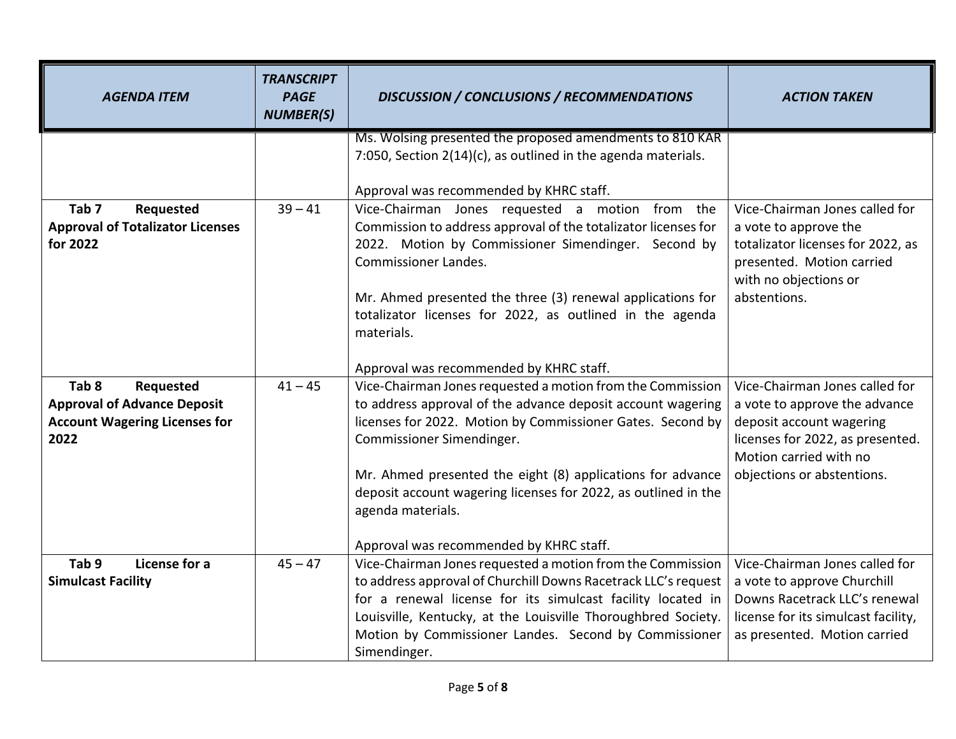| <b>AGENDA ITEM</b>                                                                                                  | <b>TRANSCRIPT</b><br><b>PAGE</b><br><b>NUMBER(S)</b> | <b>DISCUSSION / CONCLUSIONS / RECOMMENDATIONS</b>                                                                                                                                                                                                                                                                                                                                | <b>ACTION TAKEN</b>                                                                                                                                                                     |
|---------------------------------------------------------------------------------------------------------------------|------------------------------------------------------|----------------------------------------------------------------------------------------------------------------------------------------------------------------------------------------------------------------------------------------------------------------------------------------------------------------------------------------------------------------------------------|-----------------------------------------------------------------------------------------------------------------------------------------------------------------------------------------|
|                                                                                                                     |                                                      | Ms. Wolsing presented the proposed amendments to 810 KAR<br>7:050, Section 2(14)(c), as outlined in the agenda materials.<br>Approval was recommended by KHRC staff.                                                                                                                                                                                                             |                                                                                                                                                                                         |
| Tab <sub>7</sub><br>Requested<br><b>Approval of Totalizator Licenses</b><br>for 2022                                | $39 - 41$                                            | Vice-Chairman Jones requested a motion from the<br>Commission to address approval of the totalizator licenses for<br>2022. Motion by Commissioner Simendinger. Second by<br><b>Commissioner Landes.</b><br>Mr. Ahmed presented the three (3) renewal applications for<br>totalizator licenses for 2022, as outlined in the agenda<br>materials.                                  | Vice-Chairman Jones called for<br>a vote to approve the<br>totalizator licenses for 2022, as<br>presented. Motion carried<br>with no objections or<br>abstentions.                      |
|                                                                                                                     |                                                      | Approval was recommended by KHRC staff.                                                                                                                                                                                                                                                                                                                                          |                                                                                                                                                                                         |
| Tab <sub>8</sub><br>Requested<br><b>Approval of Advance Deposit</b><br><b>Account Wagering Licenses for</b><br>2022 | $41 - 45$                                            | Vice-Chairman Jones requested a motion from the Commission<br>to address approval of the advance deposit account wagering<br>licenses for 2022. Motion by Commissioner Gates. Second by<br>Commissioner Simendinger.<br>Mr. Ahmed presented the eight (8) applications for advance<br>deposit account wagering licenses for 2022, as outlined in the<br>agenda materials.        | Vice-Chairman Jones called for<br>a vote to approve the advance<br>deposit account wagering<br>licenses for 2022, as presented.<br>Motion carried with no<br>objections or abstentions. |
| Tab 9<br>License for a<br><b>Simulcast Facility</b>                                                                 | $45 - 47$                                            | Approval was recommended by KHRC staff.<br>Vice-Chairman Jones requested a motion from the Commission<br>to address approval of Churchill Downs Racetrack LLC's request<br>for a renewal license for its simulcast facility located in<br>Louisville, Kentucky, at the Louisville Thoroughbred Society.<br>Motion by Commissioner Landes. Second by Commissioner<br>Simendinger. | Vice-Chairman Jones called for<br>a vote to approve Churchill<br>Downs Racetrack LLC's renewal<br>license for its simulcast facility,<br>as presented. Motion carried                   |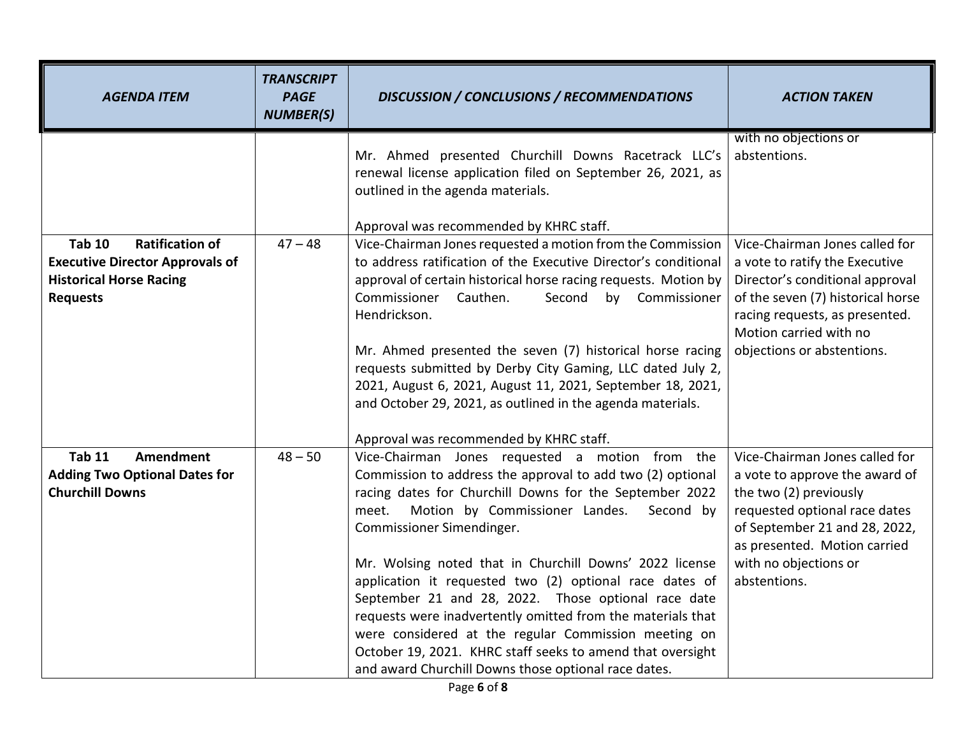| <b>AGENDA ITEM</b>                                                                                                                     | <b>TRANSCRIPT</b><br><b>PAGE</b><br><b>NUMBER(S)</b> | <b>DISCUSSION / CONCLUSIONS / RECOMMENDATIONS</b>                                                                                                                                                                                                                                                                                                                                                                                                                                                                                                                                                                                                                                       | <b>ACTION TAKEN</b>                                                                                                                                                                                                                   |
|----------------------------------------------------------------------------------------------------------------------------------------|------------------------------------------------------|-----------------------------------------------------------------------------------------------------------------------------------------------------------------------------------------------------------------------------------------------------------------------------------------------------------------------------------------------------------------------------------------------------------------------------------------------------------------------------------------------------------------------------------------------------------------------------------------------------------------------------------------------------------------------------------------|---------------------------------------------------------------------------------------------------------------------------------------------------------------------------------------------------------------------------------------|
|                                                                                                                                        |                                                      | Mr. Ahmed presented Churchill Downs Racetrack LLC's<br>renewal license application filed on September 26, 2021, as<br>outlined in the agenda materials.<br>Approval was recommended by KHRC staff.                                                                                                                                                                                                                                                                                                                                                                                                                                                                                      | with no objections or<br>abstentions.                                                                                                                                                                                                 |
| <b>Tab 10</b><br><b>Ratification of</b><br><b>Executive Director Approvals of</b><br><b>Historical Horse Racing</b><br><b>Requests</b> | $47 - 48$                                            | Vice-Chairman Jones requested a motion from the Commission<br>to address ratification of the Executive Director's conditional<br>approval of certain historical horse racing requests. Motion by<br>Commissioner Cauthen.<br>Second by Commissioner<br>Hendrickson.<br>Mr. Ahmed presented the seven (7) historical horse racing<br>requests submitted by Derby City Gaming, LLC dated July 2,<br>2021, August 6, 2021, August 11, 2021, September 18, 2021,<br>and October 29, 2021, as outlined in the agenda materials.<br>Approval was recommended by KHRC staff.                                                                                                                   | Vice-Chairman Jones called for<br>a vote to ratify the Executive<br>Director's conditional approval<br>of the seven (7) historical horse<br>racing requests, as presented.<br>Motion carried with no<br>objections or abstentions.    |
| <b>Tab 11</b><br><b>Amendment</b><br><b>Adding Two Optional Dates for</b><br><b>Churchill Downs</b>                                    | $48 - 50$                                            | Vice-Chairman Jones requested a motion from the<br>Commission to address the approval to add two (2) optional<br>racing dates for Churchill Downs for the September 2022<br>Motion by Commissioner Landes.<br>meet.<br>Second by<br>Commissioner Simendinger.<br>Mr. Wolsing noted that in Churchill Downs' 2022 license<br>application it requested two (2) optional race dates of<br>September 21 and 28, 2022. Those optional race date<br>requests were inadvertently omitted from the materials that<br>were considered at the regular Commission meeting on<br>October 19, 2021. KHRC staff seeks to amend that oversight<br>and award Churchill Downs those optional race dates. | Vice-Chairman Jones called for<br>a vote to approve the award of<br>the two (2) previously<br>requested optional race dates<br>of September 21 and 28, 2022,<br>as presented. Motion carried<br>with no objections or<br>abstentions. |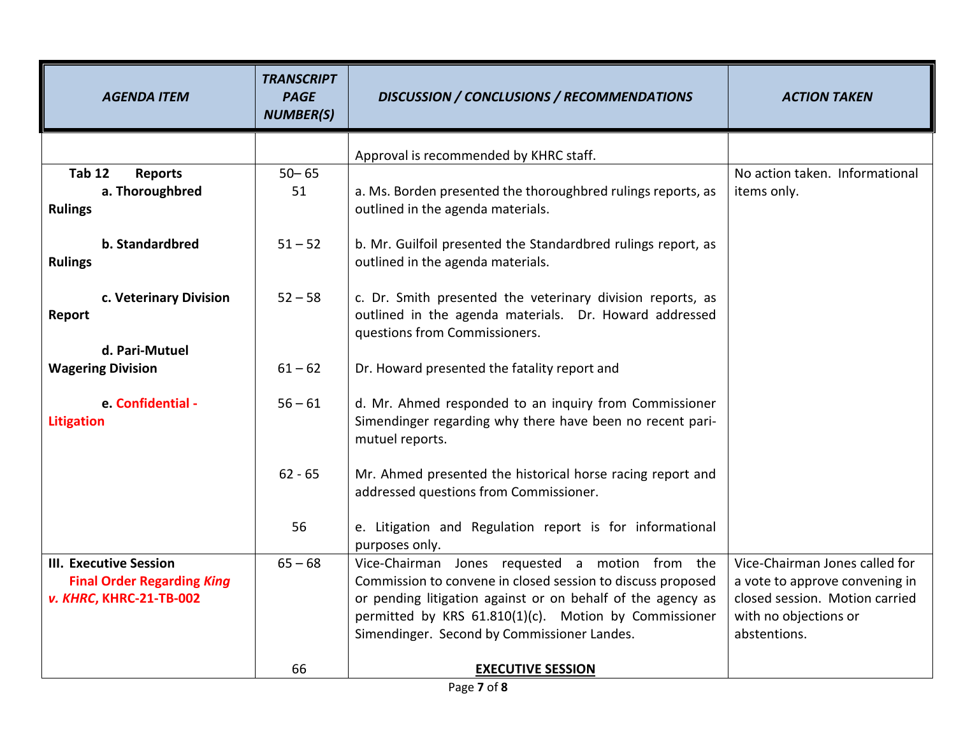| <b>AGENDA ITEM</b>                     | <b>TRANSCRIPT</b><br><b>PAGE</b><br><b>NUMBER(S)</b> | <b>DISCUSSION / CONCLUSIONS / RECOMMENDATIONS</b>                                                                                                     | <b>ACTION TAKEN</b>                   |
|----------------------------------------|------------------------------------------------------|-------------------------------------------------------------------------------------------------------------------------------------------------------|---------------------------------------|
|                                        |                                                      | Approval is recommended by KHRC staff.                                                                                                                |                                       |
| <b>Tab 12</b><br><b>Reports</b>        | $50 - 65$                                            |                                                                                                                                                       | No action taken. Informational        |
| a. Thoroughbred                        | 51                                                   | a. Ms. Borden presented the thoroughbred rulings reports, as                                                                                          | items only.                           |
| <b>Rulings</b>                         |                                                      | outlined in the agenda materials.                                                                                                                     |                                       |
| b. Standardbred                        | $51 - 52$                                            | b. Mr. Guilfoil presented the Standardbred rulings report, as                                                                                         |                                       |
| <b>Rulings</b>                         |                                                      | outlined in the agenda materials.                                                                                                                     |                                       |
| c. Veterinary Division<br>Report       | $52 - 58$                                            | c. Dr. Smith presented the veterinary division reports, as<br>outlined in the agenda materials. Dr. Howard addressed<br>questions from Commissioners. |                                       |
| d. Pari-Mutuel                         |                                                      |                                                                                                                                                       |                                       |
| <b>Wagering Division</b>               | $61 - 62$                                            | Dr. Howard presented the fatality report and                                                                                                          |                                       |
| e. Confidential -<br><b>Litigation</b> | $56 - 61$                                            | d. Mr. Ahmed responded to an inquiry from Commissioner<br>Simendinger regarding why there have been no recent pari-<br>mutuel reports.                |                                       |
|                                        | $62 - 65$                                            | Mr. Ahmed presented the historical horse racing report and<br>addressed questions from Commissioner.                                                  |                                       |
|                                        | 56                                                   | e. Litigation and Regulation report is for informational<br>purposes only.                                                                            |                                       |
| <b>III. Executive Session</b>          | $65 - 68$                                            | Vice-Chairman Jones requested a motion from the                                                                                                       | Vice-Chairman Jones called for        |
| <b>Final Order Regarding King</b>      |                                                      | Commission to convene in closed session to discuss proposed                                                                                           | a vote to approve convening in        |
| v. KHRC, KHRC-21-TB-002                |                                                      | or pending litigation against or on behalf of the agency as                                                                                           | closed session. Motion carried        |
|                                        |                                                      | permitted by KRS 61.810(1)(c). Motion by Commissioner<br>Simendinger. Second by Commissioner Landes.                                                  | with no objections or<br>abstentions. |
|                                        |                                                      |                                                                                                                                                       |                                       |
|                                        | 66                                                   | <b>EXECUTIVE SESSION</b>                                                                                                                              |                                       |